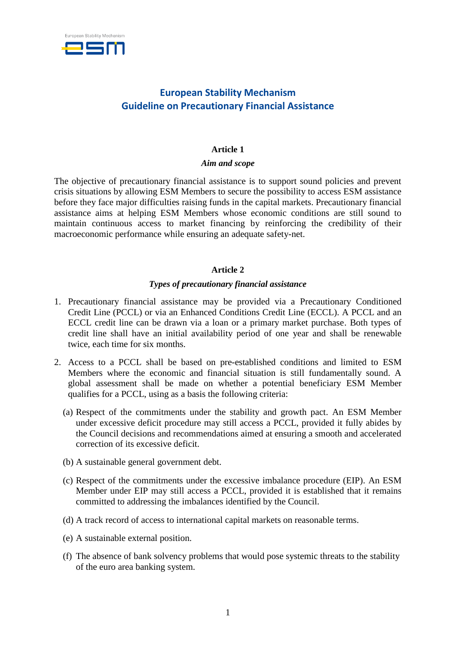

# **European Stability Mechanism Guideline on Precautionary Financial Assistance**

### **Article 1**

#### *Aim and scope*

The objective of precautionary financial assistance is to support sound policies and prevent crisis situations by allowing ESM Members to secure the possibility to access ESM assistance before they face major difficulties raising funds in the capital markets. Precautionary financial assistance aims at helping ESM Members whose economic conditions are still sound to maintain continuous access to market financing by reinforcing the credibility of their macroeconomic performance while ensuring an adequate safety-net.

## **Article 2**

#### *Types of precautionary financial assistance*

- 1. Precautionary financial assistance may be provided via a Precautionary Conditioned Credit Line (PCCL) or via an Enhanced Conditions Credit Line (ECCL). A PCCL and an ECCL credit line can be drawn via a loan or a primary market purchase. Both types of credit line shall have an initial availability period of one year and shall be renewable twice, each time for six months.
- 2. Access to a PCCL shall be based on pre-established conditions and limited to ESM Members where the economic and financial situation is still fundamentally sound. A global assessment shall be made on whether a potential beneficiary ESM Member qualifies for a PCCL, using as a basis the following criteria:
	- (a) Respect of the commitments under the stability and growth pact. An ESM Member under excessive deficit procedure may still access a PCCL, provided it fully abides by the Council decisions and recommendations aimed at ensuring a smooth and accelerated correction of its excessive deficit.
	- (b) A sustainable general government debt.
	- (c) Respect of the commitments under the excessive imbalance procedure (EIP). An ESM Member under EIP may still access a PCCL, provided it is established that it remains committed to addressing the imbalances identified by the Council.
	- (d) A track record of access to international capital markets on reasonable terms.
	- (e) A sustainable external position.
	- (f) The absence of bank solvency problems that would pose systemic threats to the stability of the euro area banking system.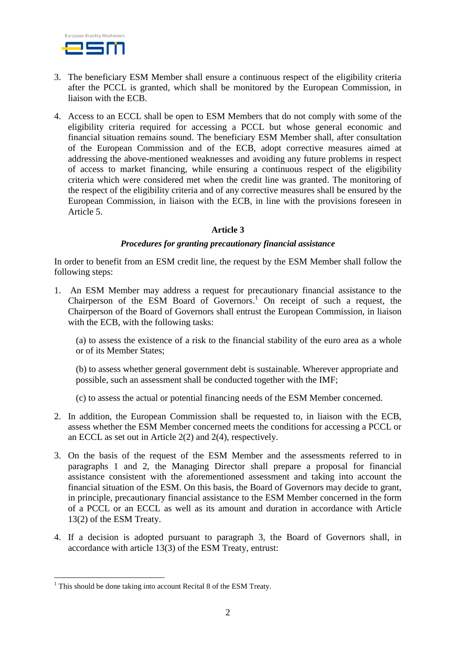

- 3. The beneficiary ESM Member shall ensure a continuous respect of the eligibility criteria after the PCCL is granted, which shall be monitored by the European Commission, in liaison with the ECB.
- 4. Access to an ECCL shall be open to ESM Members that do not comply with some of the eligibility criteria required for accessing a PCCL but whose general economic and financial situation remains sound. The beneficiary ESM Member shall, after consultation of the European Commission and of the ECB, adopt corrective measures aimed at addressing the above-mentioned weaknesses and avoiding any future problems in respect of access to market financing, while ensuring a continuous respect of the eligibility criteria which were considered met when the credit line was granted. The monitoring of the respect of the eligibility criteria and of any corrective measures shall be ensured by the European Commission, in liaison with the ECB, in line with the provisions foreseen in Article 5.

## **Article 3**

#### *Procedures for granting precautionary financial assistance*

In order to benefit from an ESM credit line, the request by the ESM Member shall follow the following steps:

1. An ESM Member may address a request for precautionary financial assistance to the Chairperson of the ESM Board of Governors. <sup>1</sup> On receipt of such a request, the Chairperson of the Board of Governors shall entrust the European Commission, in liaison with the ECB, with the following tasks:

(a) to assess the existence of a risk to the financial stability of the euro area as a whole or of its Member States;

(b) to assess whether general government debt is sustainable. Wherever appropriate and possible, such an assessment shall be conducted together with the IMF;

(c) to assess the actual or potential financing needs of the ESM Member concerned.

- 2. In addition, the European Commission shall be requested to, in liaison with the ECB, assess whether the ESM Member concerned meets the conditions for accessing a PCCL or an ECCL as set out in Article 2(2) and 2(4), respectively.
- 3. On the basis of the request of the ESM Member and the assessments referred to in paragraphs 1 and 2, the Managing Director shall prepare a proposal for financial assistance consistent with the aforementioned assessment and taking into account the financial situation of the ESM. On this basis, the Board of Governors may decide to grant, in principle, precautionary financial assistance to the ESM Member concerned in the form of a PCCL or an ECCL as well as its amount and duration in accordance with Article 13(2) of the ESM Treaty.
- 4. If a decision is adopted pursuant to paragraph 3, the Board of Governors shall, in accordance with article 13(3) of the ESM Treaty, entrust:

1

 $1$  This should be done taking into account Recital 8 of the ESM Treaty.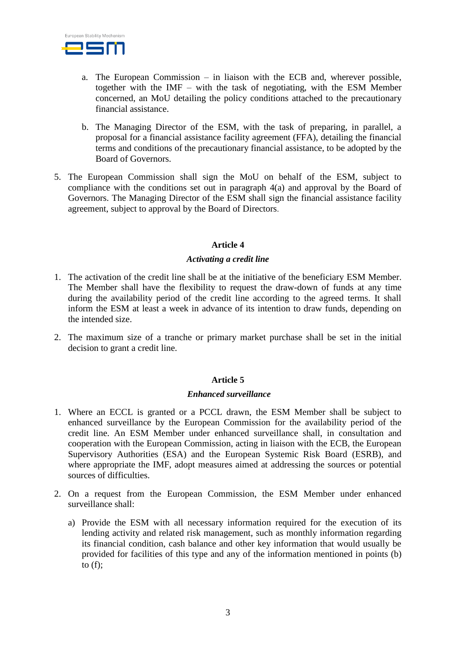

- a. The European Commission in liaison with the ECB and, wherever possible, together with the IMF – with the task of negotiating, with the ESM Member concerned, an MoU detailing the policy conditions attached to the precautionary financial assistance.
- b. The Managing Director of the ESM, with the task of preparing, in parallel, a proposal for a financial assistance facility agreement (FFA), detailing the financial terms and conditions of the precautionary financial assistance, to be adopted by the Board of Governors.
- 5. The European Commission shall sign the MoU on behalf of the ESM, subject to compliance with the conditions set out in paragraph 4(a) and approval by the Board of Governors. The Managing Director of the ESM shall sign the financial assistance facility agreement, subject to approval by the Board of Directors.

## **Article 4**

#### *Activating a credit line*

- 1. The activation of the credit line shall be at the initiative of the beneficiary ESM Member. The Member shall have the flexibility to request the draw-down of funds at any time during the availability period of the credit line according to the agreed terms. It shall inform the ESM at least a week in advance of its intention to draw funds, depending on the intended size.
- 2. The maximum size of a tranche or primary market purchase shall be set in the initial decision to grant a credit line.

#### **Article 5**

#### *Enhanced surveillance*

- 1. Where an ECCL is granted or a PCCL drawn, the ESM Member shall be subject to enhanced surveillance by the European Commission for the availability period of the credit line. An ESM Member under enhanced surveillance shall, in consultation and cooperation with the European Commission, acting in liaison with the ECB, the European Supervisory Authorities (ESA) and the European Systemic Risk Board (ESRB), and where appropriate the IMF, adopt measures aimed at addressing the sources or potential sources of difficulties.
- 2. On a request from the European Commission, the ESM Member under enhanced surveillance shall:
	- a) Provide the ESM with all necessary information required for the execution of its lending activity and related risk management, such as monthly information regarding its financial condition, cash balance and other key information that would usually be provided for facilities of this type and any of the information mentioned in points (b) to  $(f)$ ;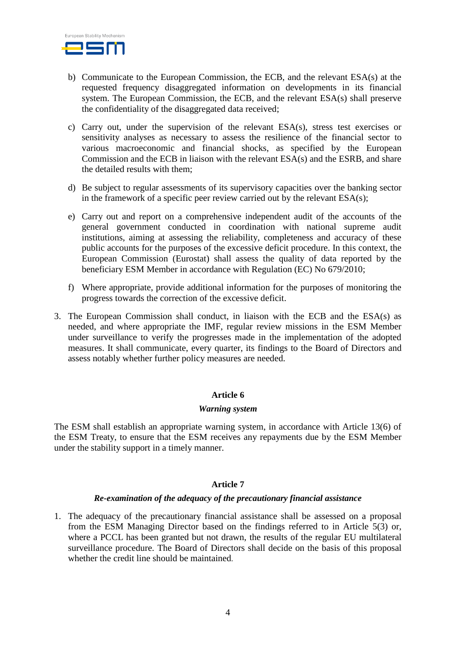

- b) Communicate to the European Commission, the ECB, and the relevant ESA(s) at the requested frequency disaggregated information on developments in its financial system. The European Commission, the ECB, and the relevant ESA(s) shall preserve the confidentiality of the disaggregated data received;
- c) Carry out, under the supervision of the relevant ESA(s), stress test exercises or sensitivity analyses as necessary to assess the resilience of the financial sector to various macroeconomic and financial shocks, as specified by the European Commission and the ECB in liaison with the relevant ESA(s) and the ESRB, and share the detailed results with them;
- d) Be subject to regular assessments of its supervisory capacities over the banking sector in the framework of a specific peer review carried out by the relevant ESA(s);
- e) Carry out and report on a comprehensive independent audit of the accounts of the general government conducted in coordination with national supreme audit institutions, aiming at assessing the reliability, completeness and accuracy of these public accounts for the purposes of the excessive deficit procedure. In this context, the European Commission (Eurostat) shall assess the quality of data reported by the beneficiary ESM Member in accordance with Regulation (EC) No 679/2010;
- f) Where appropriate, provide additional information for the purposes of monitoring the progress towards the correction of the excessive deficit.
- 3. The European Commission shall conduct, in liaison with the ECB and the ESA(s) as needed, and where appropriate the IMF, regular review missions in the ESM Member under surveillance to verify the progresses made in the implementation of the adopted measures. It shall communicate, every quarter, its findings to the Board of Directors and assess notably whether further policy measures are needed.

#### **Article 6**

#### *Warning system*

The ESM shall establish an appropriate warning system, in accordance with Article 13(6) of the ESM Treaty, to ensure that the ESM receives any repayments due by the ESM Member under the stability support in a timely manner.

#### **Article 7**

#### *Re-examination of the adequacy of the precautionary financial assistance*

1. The adequacy of the precautionary financial assistance shall be assessed on a proposal from the ESM Managing Director based on the findings referred to in Article 5(3) or, where a PCCL has been granted but not drawn, the results of the regular EU multilateral surveillance procedure. The Board of Directors shall decide on the basis of this proposal whether the credit line should be maintained.